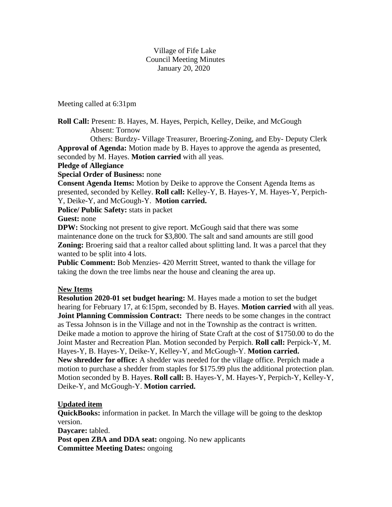Village of Fife Lake Council Meeting Minutes January 20, 2020

Meeting called at 6:31pm

**Roll Call:** Present: B. Hayes, M. Hayes, Perpich, Kelley, Deike, and McGough Absent: Tornow

 Others: Burdzy- Village Treasurer, Broering-Zoning, and Eby- Deputy Clerk **Approval of Agenda:** Motion made by B. Hayes to approve the agenda as presented,

seconded by M. Hayes. **Motion carried** with all yeas.

### **Pledge of Allegiance**

**Special Order of Business:** none

**Consent Agenda Items:** Motion by Deike to approve the Consent Agenda Items as presented, seconded by Kelley. **Roll call:** Kelley-Y, B. Hayes-Y, M. Hayes-Y, Perpich-Y, Deike-Y, and McGough-Y. **Motion carried.**

**Police/ Public Safety:** stats in packet

**Guest:** none

**DPW:** Stocking not present to give report. McGough said that there was some maintenance done on the truck for \$3,800. The salt and sand amounts are still good **Zoning:** Broering said that a realtor called about splitting land. It was a parcel that they wanted to be split into 4 lots.

**Public Comment:** Bob Menzies- 420 Merritt Street, wanted to thank the village for taking the down the tree limbs near the house and cleaning the area up.

### **New Items**

**Resolution 2020-01 set budget hearing:** M. Hayes made a motion to set the budget hearing for February 17, at 6:15pm, seconded by B. Hayes. **Motion carried** with all yeas. **Joint Planning Commission Contract:** There needs to be some changes in the contract as Tessa Johnson is in the Village and not in the Township as the contract is written. Deike made a motion to approve the hiring of State Craft at the cost of \$1750.00 to do the Joint Master and Recreation Plan. Motion seconded by Perpich. **Roll call:** Perpick-Y, M. Hayes-Y, B. Hayes-Y, Deike-Y, Kelley-Y, and McGough-Y. **Motion carried. New shredder for office:** A shedder was needed for the village office. Perpich made a motion to purchase a shedder from staples for \$175.99 plus the additional protection plan. Motion seconded by B. Hayes. **Roll call:** B. Hayes-Y, M. Hayes-Y, Perpich-Y, Kelley-Y, Deike-Y, and McGough-Y. **Motion carried.**

### **Updated item**

**QuickBooks:** information in packet. In March the village will be going to the desktop version.

**Daycare:** tabled.

Post open ZBA and DDA seat: ongoing. No new applicants **Committee Meeting Dates:** ongoing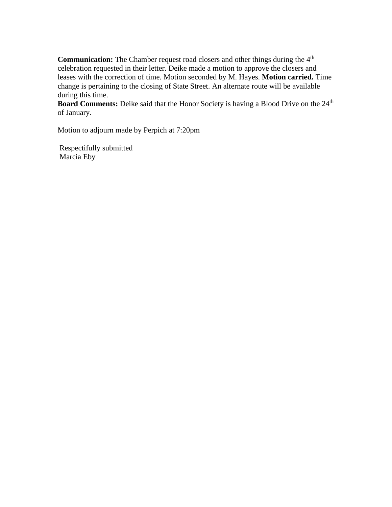**Communication:** The Chamber request road closers and other things during the 4<sup>th</sup> celebration requested in their letter. Deike made a motion to approve the closers and leases with the correction of time. Motion seconded by M. Hayes. **Motion carried.** Time change is pertaining to the closing of State Street. An alternate route will be available during this time.

**Board Comments:** Deike said that the Honor Society is having a Blood Drive on the 24<sup>th</sup> of January.

Motion to adjourn made by Perpich at 7:20pm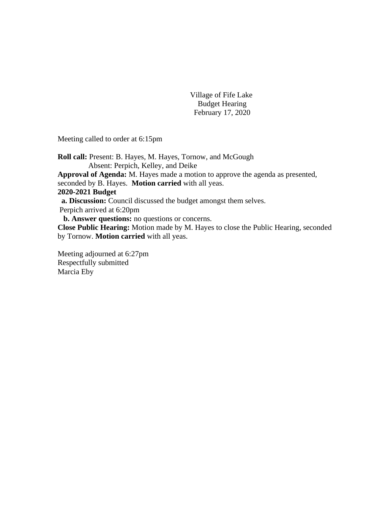Village of Fife Lake Budget Hearing February 17, 2020

Meeting called to order at 6:15pm

**Roll call:** Present: B. Hayes, M. Hayes, Tornow, and McGough Absent: Perpich, Kelley, and Deike **Approval of Agenda:** M. Hayes made a motion to approve the agenda as presented, seconded by B. Hayes. **Motion carried** with all yeas. **2020-2021 Budget a. Discussion:** Council discussed the budget amongst them selves. Perpich arrived at 6:20pm **b. Answer questions:** no questions or concerns. **Close Public Hearing:** Motion made by M. Hayes to close the Public Hearing, seconded by Tornow. **Motion carried** with all yeas.

Meeting adjourned at 6:27pm Respectfully submitted Marcia Eby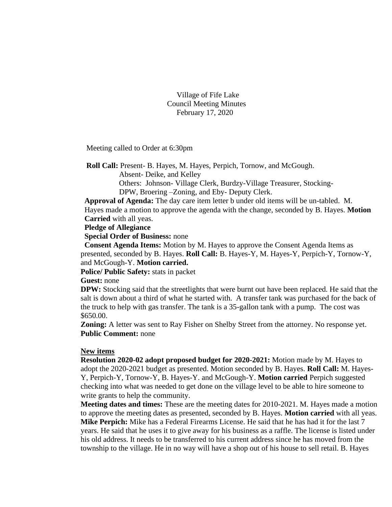Village of Fife Lake Council Meeting Minutes February 17, 2020

Meeting called to Order at 6:30pm

 **Roll Call:** Present- B. Hayes, M. Hayes, Perpich, Tornow, and McGough.

Absent- Deike, and Kelley

 Others: Johnson- Village Clerk, Burdzy-Village Treasurer, Stocking- DPW, Broering –Zoning, and Eby- Deputy Clerk.

 **Approval of Agenda:** The day care item letter b under old items will be un-tabled. M. Hayes made a motion to approve the agenda with the change, seconded by B. Hayes. **Motion Carried** with all yeas.

**Pledge of Allegiance**

 **Special Order of Business:** none

 **Consent Agenda Items:** Motion by M. Hayes to approve the Consent Agenda Items as presented, seconded by B. Hayes. **Roll Call:** B. Hayes-Y, M. Hayes-Y, Perpich-Y, Tornow-Y, and McGough-Y. **Motion carried.**

**Police/ Public Safety:** stats in packet

**Guest:** none

**DPW:** Stocking said that the streetlights that were burnt out have been replaced. He said that the salt is down about a third of what he started with. A transfer tank was purchased for the back of the truck to help with gas transfer. The tank is a 35-gallon tank with a pump. The cost was \$650.00.

**Zoning:** A letter was sent to Ray Fisher on Shelby Street from the attorney. No response yet. **Public Comment:** none

#### **New items**

**Resolution 2020-02 adopt proposed budget for 2020-2021:** Motion made by M. Hayes to adopt the 2020-2021 budget as presented. Motion seconded by B. Hayes. **Roll Call:** M. Hayes-Y, Perpich-Y, Tornow-Y, B. Hayes-Y. and McGough-Y. **Motion carried** Perpich suggested checking into what was needed to get done on the village level to be able to hire someone to write grants to help the community.

**Meeting dates and times:** These are the meeting dates for 2010-2021. M. Hayes made a motion to approve the meeting dates as presented, seconded by B. Hayes. **Motion carried** with all yeas. **Mike Perpich:** Mike has a Federal Firearms License. He said that he has had it for the last 7 years. He said that he uses it to give away for his business as a raffle. The license is listed under his old address. It needs to be transferred to his current address since he has moved from the township to the village. He in no way will have a shop out of his house to sell retail. B. Hayes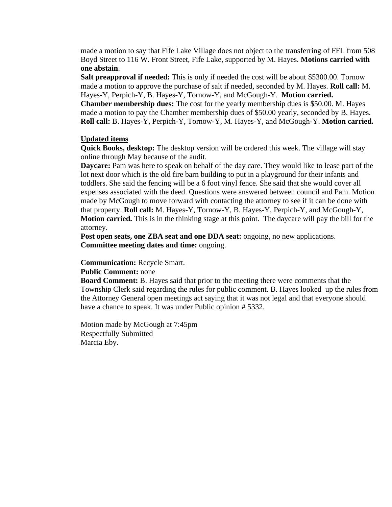made a motion to say that Fife Lake Village does not object to the transferring of FFL from 508 Boyd Street to 116 W. Front Street, Fife Lake, supported by M. Hayes. **Motions carried with one abstain**.

**Salt preapproval if needed:** This is only if needed the cost will be about \$5300.00. Tornow made a motion to approve the purchase of salt if needed, seconded by M. Hayes. **Roll call:** M. Hayes-Y, Perpich-Y, B. Hayes-Y, Tornow-Y, and McGough-Y. **Motion carried. Chamber membership dues:** The cost for the yearly membership dues is \$50.00. M. Hayes

made a motion to pay the Chamber membership dues of \$50.00 yearly, seconded by B. Hayes. **Roll call:** B. Hayes-Y, Perpich-Y, Tornow-Y, M. Hayes-Y, and McGough-Y. **Motion carried.**

#### **Updated items**

**Quick Books, desktop:** The desktop version will be ordered this week. The village will stay online through May because of the audit.

**Daycare:** Pam was here to speak on behalf of the day care. They would like to lease part of the lot next door which is the old fire barn building to put in a playground for their infants and toddlers. She said the fencing will be a 6 foot vinyl fence. She said that she would cover all expenses associated with the deed. Questions were answered between council and Pam. Motion made by McGough to move forward with contacting the attorney to see if it can be done with that property. **Roll call:** M. Hayes-Y, Tornow-Y, B. Hayes-Y, Perpich-Y, and McGough-Y, **Motion carried.** This is in the thinking stage at this point. The daycare will pay the bill for the attorney.

**Post open seats, one ZBA seat and one DDA seat:** ongoing, no new applications. **Committee meeting dates and time:** ongoing.

#### **Communication:** Recycle Smart.

**Public Comment:** none

**Board Comment:** B. Hayes said that prior to the meeting there were comments that the Township Clerk said regarding the rules for public comment. B. Hayes looked up the rules from the Attorney General open meetings act saying that it was not legal and that everyone should have a chance to speak. It was under Public opinion # 5332.

Motion made by McGough at 7:45pm Respectfully Submitted Marcia Eby.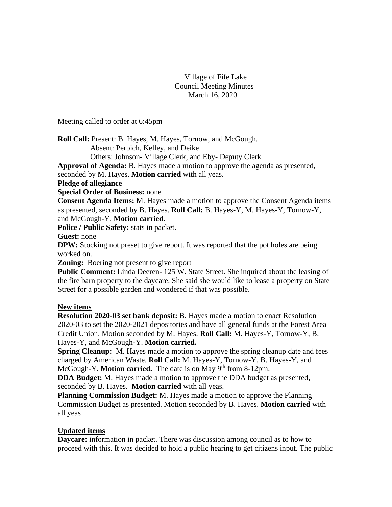### Village of Fife Lake Council Meeting Minutes March 16, 2020

Meeting called to order at 6:45pm

**Roll Call:** Present: B. Hayes, M. Hayes, Tornow, and McGough. Absent: Perpich, Kelley, and Deike

Others: Johnson- Village Clerk, and Eby- Deputy Clerk

**Approval of Agenda:** B. Hayes made a motion to approve the agenda as presented,

seconded by M. Hayes. **Motion carried** with all yeas.

**Pledge of allegiance**

**Special Order of Business:** none

**Consent Agenda Items:** M. Hayes made a motion to approve the Consent Agenda items as presented, seconded by B. Hayes. **Roll Call:** B. Hayes-Y, M. Hayes-Y, Tornow-Y, and McGough-Y. **Motion carried.**

**Police / Public Safety:** stats in packet.

**Guest:** none

**DPW:** Stocking not preset to give report. It was reported that the pot holes are being worked on.

**Zoning:** Boering not present to give report

**Public Comment:** Linda Deeren-125 W. State Street. She inquired about the leasing of the fire barn property to the daycare. She said she would like to lease a property on State Street for a possible garden and wondered if that was possible.

## **New items**

**Resolution 2020-03 set bank deposit:** B. Hayes made a motion to enact Resolution 2020-03 to set the 2020-2021 depositories and have all general funds at the Forest Area Credit Union. Motion seconded by M. Hayes. **Roll Call:** M. Hayes-Y, Tornow-Y, B. Hayes-Y, and McGough-Y. **Motion carried.**

**Spring Cleanup:** M. Hayes made a motion to approve the spring cleanup date and fees charged by American Waste. **Roll Call:** M. Hayes-Y, Tornow-Y, B. Hayes-Y, and McGough-Y. **Motion carried.** The date is on May 9<sup>th</sup> from 8-12pm.

**DDA Budget:** M. Hayes made a motion to approve the DDA budget as presented, seconded by B. Hayes. **Motion carried** with all yeas.

**Planning Commission Budget:** M. Hayes made a motion to approve the Planning Commission Budget as presented. Motion seconded by B. Hayes. **Motion carried** with all yeas

## **Updated items**

**Daycare:** information in packet. There was discussion among council as to how to proceed with this. It was decided to hold a public hearing to get citizens input. The public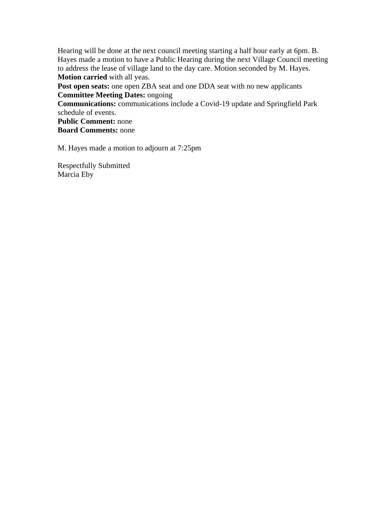Hearing will be done at the next council meeting starting a half hour early at 6pm. B. Hayes made a motion to have a Public Hearing during the next Village Council meeting to address the lease of village land to the day care. Motion seconded by M. Hayes. **Motion carried** with all yeas.

**Post open seats:** one open ZBA seat and one DDA seat with no new applicants **Committee Meeting Dates:** ongoing

**Communications:** communications include a Covid-19 update and Springfield Park schedule of events.

**Public Comment:** none **Board Comments:** none

M. Hayes made a motion to adjourn at 7:25pm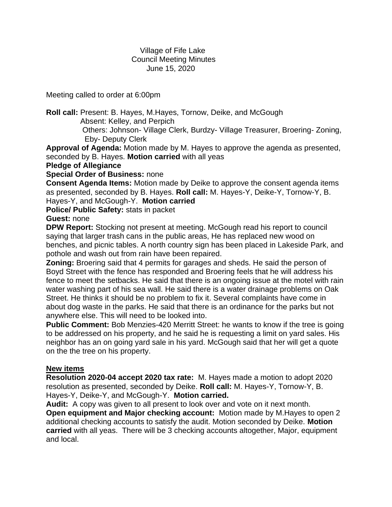## Village of Fife Lake Council Meeting Minutes June 15, 2020

Meeting called to order at 6:00pm

**Roll call:** Present: B. Hayes, M.Hayes, Tornow, Deike, and McGough Absent: Kelley, and Perpich Others: Johnson- Village Clerk, Burdzy- Village Treasurer, Broering- Zoning,

Eby- Deputy Clerk

**Approval of Agenda:** Motion made by M. Hayes to approve the agenda as presented, seconded by B. Hayes. **Motion carried** with all yeas

## **Pledge of Allegiance**

## **Special Order of Business:** none

**Consent Agenda Items:** Motion made by Deike to approve the consent agenda items as presented, seconded by B. Hayes. **Roll call:** M. Hayes-Y, Deike-Y, Tornow-Y, B. Hayes-Y, and McGough-Y. **Motion carried**

**Police/ Public Safety:** stats in packet

## **Guest:** none

**DPW Report:** Stocking not present at meeting. McGough read his report to council saying that larger trash cans in the public areas, He has replaced new wood on benches, and picnic tables. A north country sign has been placed in Lakeside Park, and pothole and wash out from rain have been repaired.

**Zoning:** Broering said that 4 permits for garages and sheds. He said the person of Boyd Street with the fence has responded and Broering feels that he will address his fence to meet the setbacks. He said that there is an ongoing issue at the motel with rain water washing part of his sea wall. He said there is a water drainage problems on Oak Street. He thinks it should be no problem to fix it. Several complaints have come in about dog waste in the parks. He said that there is an ordinance for the parks but not anywhere else. This will need to be looked into.

**Public Comment:** Bob Menzies-420 Merritt Street: he wants to know if the tree is going to be addressed on his property, and he said he is requesting a limit on yard sales. His neighbor has an on going yard sale in his yard. McGough said that her will get a quote on the the tree on his property.

## **New items**

**Resolution 2020-04 accept 2020 tax rate:** M. Hayes made a motion to adopt 2020 resolution as presented, seconded by Deike. **Roll call:** M. Hayes-Y, Tornow-Y, B. Hayes-Y, Deike-Y, and McGough-Y. **Motion carried.**

**Audit:** A copy was given to all present to look over and vote on it next month. **Open equipment and Major checking account:** Motion made by M.Hayes to open 2 additional checking accounts to satisfy the audit. Motion seconded by Deike. **Motion carried** with all yeas. There will be 3 checking accounts altogether, Major, equipment and local.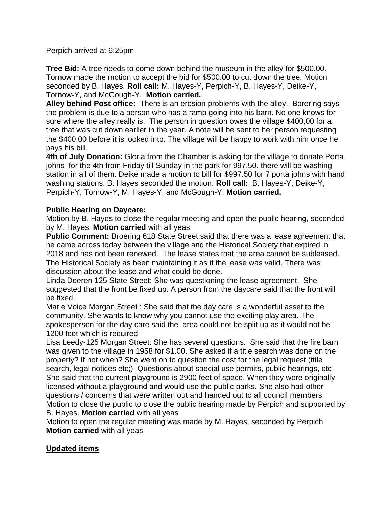## Perpich arrived at 6:25pm

**Tree Bid:** A tree needs to come down behind the museum in the alley for \$500.00. Tornow made the motion to accept the bid for \$500.00 to cut down the tree. Motion seconded by B. Hayes. **Roll call:** M. Hayes-Y, Perpich-Y, B. Hayes-Y, Deike-Y, Tornow-Y, and McGough-Y. **Motion carried.**

**Alley behind Post office:** There is an erosion problems with the alley. Borering says the problem is due to a person who has a ramp going into his barn. No one knows for sure where the alley really is. The person in question owes the village \$400,00 for a tree that was cut down earlier in the year. A note will be sent to her person requesting the \$400.00 before it is looked into. The village will be happy to work with him once he pays his bill.

**4th of July Donation:** Gloria from the Chamber is asking for the village to donate Porta johns for the 4th from Friday till Sunday in the park for 997.50. there will be washing station in all of them. Deike made a motion to bill for \$997.50 for 7 porta johns with hand washing stations. B. Hayes seconded the motion. **Roll call:** B. Hayes-Y, Deike-Y, Perpich-Y, Tornow-Y, M. Hayes-Y, and McGough-Y. **Motion carried.**

## **Public Hearing on Daycare:**

Motion by B. Hayes to close the regular meeting and open the public hearing, seconded by M. Hayes. **Motion carried** with all yeas

**Public Comment:** Broering 618 State Street:said that there was a lease agreement that he came across today between the village and the Historical Society that expired in 2018 and has not been renewed. The lease states that the area cannot be subleased. The Historical Society as been maintaining it as if the lease was valid. There was discussion about the lease and what could be done.

Linda Deeren 125 State Street: She was questioning the lease agreement. She suggested that the front be fixed up. A person from the daycare said that the front will be fixed.

Marie Voice Morgan Street : She said that the day care is a wonderful asset to the community. She wants to know why you cannot use the exciting play area. The spokesperson for the day care said the area could not be split up as it would not be 1200 feet which is required

Lisa Leedy-125 Morgan Street: She has several questions. She said that the fire barn was given to the village in 1958 for \$1.00. She asked if a title search was done on the property? If not when? She went on to question the cost for the legal request (title search, legal notices etc;) Questions about special use permits, public hearings, etc. She said that the current playground is 2900 feet of space. When they were originally licensed without a playground and would use the public parks. She also had other questions / concerns that were written out and handed out to all council members. Motion to close the public to close the public hearing made by Perpich and supported by B. Hayes. **Motion carried** with all yeas

Motion to open the regular meeting was made by M. Hayes, seconded by Perpich. **Motion carried** with all yeas

## **Updated items**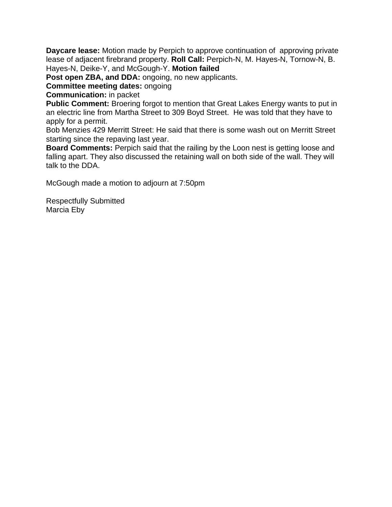**Daycare lease:** Motion made by Perpich to approve continuation of approving private lease of adjacent firebrand property. **Roll Call:** Perpich-N, M. Hayes-N, Tornow-N, B. Hayes-N, Deike-Y, and McGough-Y. **Motion failed**

Post open ZBA, and DDA: ongoing, no new applicants.

**Committee meeting dates:** ongoing

**Communication:** in packet

**Public Comment:** Broering forgot to mention that Great Lakes Energy wants to put in an electric line from Martha Street to 309 Boyd Street. He was told that they have to apply for a permit.

Bob Menzies 429 Merritt Street: He said that there is some wash out on Merritt Street starting since the repaving last year.

**Board Comments:** Perpich said that the railing by the Loon nest is getting loose and falling apart. They also discussed the retaining wall on both side of the wall. They will talk to the DDA.

McGough made a motion to adjourn at 7:50pm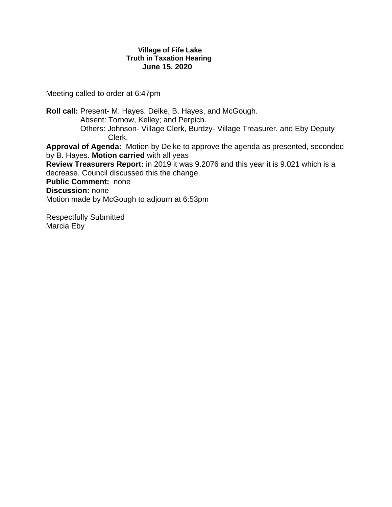#### **Village of Fife Lake Truth in Taxation Hearing June 15. 2020**

Meeting called to order at 6:47pm

**Roll call:** Present- M. Hayes, Deike, B. Hayes, and McGough. Absent: Tornow, Kelley; and Perpich. Others: Johnson- Village Clerk, Burdzy- Village Treasurer, and Eby Deputy Clerk. **Approval of Agenda:** Motion by Deike to approve the agenda as presented, seconded by B. Hayes. **Motion carried** with all yeas **Review Treasurers Report:** in 2019 it was 9.2076 and this year it is 9.021 which is a decrease. Council discussed this the change. **Public Comment:** none **Discussion:** none Motion made by McGough to adjourn at 6:53pm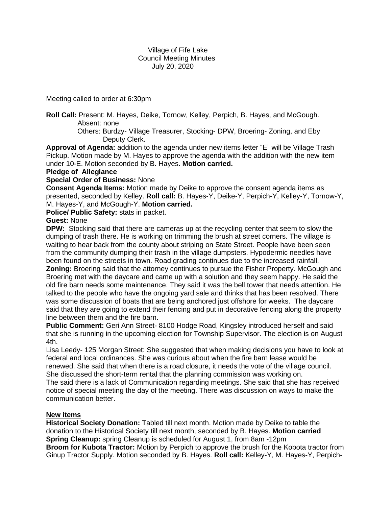Village of Fife Lake Council Meeting Minutes July 20, 2020

Meeting called to order at 6:30pm

**Roll Call:** Present: M. Hayes, Deike, Tornow, Kelley, Perpich, B. Hayes, and McGough. Absent: none

 Others: Burdzy- Village Treasurer, Stocking- DPW, Broering- Zoning, and Eby Deputy Clerk.

**Approval of Agenda:** addition to the agenda under new items letter "E" will be Village Trash Pickup. Motion made by M. Hayes to approve the agenda with the addition with the new item under 10-E. Motion seconded by B. Hayes. **Motion carried.**

#### **Pledge of Allegiance**

#### **Special Order of Business:** None

**Consent Agenda Items:** Motion made by Deike to approve the consent agenda items as presented, seconded by Kelley. **Roll call:** B. Hayes-Y, Deike-Y, Perpich-Y, Kelley-Y, Tornow-Y, M. Hayes-Y, and McGough-Y. **Motion carried.**

**Police/ Public Safety:** stats in packet.

#### **Guest:** None

**DPW:** Stocking said that there are cameras up at the recycling center that seem to slow the dumping of trash there. He is working on trimming the brush at street corners. The village is waiting to hear back from the county about striping on State Street. People have been seen from the community dumping their trash in the village dumpsters. Hypodermic needles have been found on the streets in town. Road grading continues due to the increased rainfall. **Zoning:** Broering said that the attorney continues to pursue the Fisher Property. McGough and Broering met with the daycare and came up with a solution and they seem happy. He said the old fire barn needs some maintenance. They said it was the bell tower that needs attention. He talked to the people who have the ongoing yard sale and thinks that has been resolved. There was some discussion of boats that are being anchored just offshore for weeks. The daycare said that they are going to extend their fencing and put in decorative fencing along the property

line between them and the fire barn. **Public Comment:** Geri Ann Street- 8100 Hodge Road, Kingsley introduced herself and said that she is running in the upcoming election for Township Supervisor. The election is on August 4th.

Lisa Leedy- 125 Morgan Street: She suggested that when making decisions you have to look at federal and local ordinances. She was curious about when the fire barn lease would be renewed. She said that when there is a road closure, it needs the vote of the village council. She discussed the short-term rental that the planning commission was working on.

The said there is a lack of Communication regarding meetings. She said that she has received notice of special meeting the day of the meeting. There was discussion on ways to make the communication better.

### **New items**

**Historical Society Donation:** Tabled till next month. Motion made by Deike to table the donation to the Historical Society till next month, seconded by B. Hayes. **Motion carried Spring Cleanup:** spring Cleanup is scheduled for August 1, from 8am -12pm **Broom for Kubota Tractor:** Motion by Perpich to approve the brush for the Kobota tractor from Ginup Tractor Supply. Motion seconded by B. Hayes. **Roll call:** Kelley-Y, M. Hayes-Y, Perpich-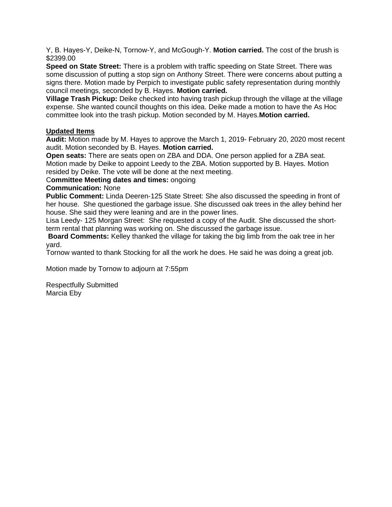Y, B. Hayes-Y, Deike-N, Tornow-Y, and McGough-Y. **Motion carried.** The cost of the brush is \$2399.00

**Speed on State Street:** There is a problem with traffic speeding on State Street. There was some discussion of putting a stop sign on Anthony Street. There were concerns about putting a signs there. Motion made by Perpich to investigate public safety representation during monthly council meetings, seconded by B. Hayes. **Motion carried.**

**Village Trash Pickup:** Deike checked into having trash pickup through the village at the village expense. She wanted council thoughts on this idea. Deike made a motion to have the As Hoc committee look into the trash pickup. Motion seconded by M. Hayes.**Motion carried.**

### **Updated Items**

**Audit:** Motion made by M. Hayes to approve the March 1, 2019- February 20, 2020 most recent audit. Motion seconded by B. Hayes. **Motion carried.**

**Open seats:** There are seats open on ZBA and DDA. One person applied for a ZBA seat. Motion made by Deike to appoint Leedy to the ZBA. Motion supported by B. Hayes. Motion resided by Deike. The vote will be done at the next meeting.

### C**ommittee Meeting dates and times:** ongoing

#### **Communication:** None

**Public Comment:** Linda Deeren-125 State Street: She also discussed the speeding in front of her house. She questioned the garbage issue. She discussed oak trees in the alley behind her house. She said they were leaning and are in the power lines.

Lisa Leedy- 125 Morgan Street: She requested a copy of the Audit. She discussed the shortterm rental that planning was working on. She discussed the garbage issue.

**Board Comments:** Kelley thanked the village for taking the big limb from the oak tree in her yard.

Tornow wanted to thank Stocking for all the work he does. He said he was doing a great job.

Motion made by Tornow to adjourn at 7:55pm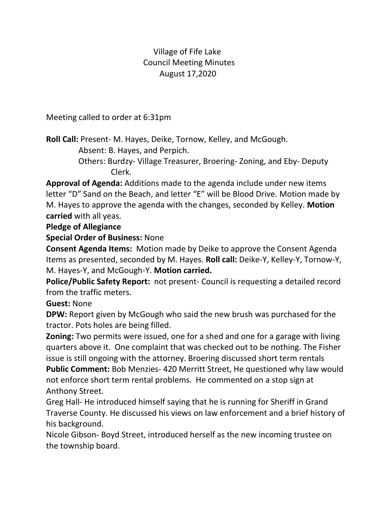# Village of Fife Lake Council Meeting Minutes August 17,2020

Meeting called to order at 6:31pm

**Roll Call:** Present- M. Hayes, Deike, Tornow, Kelley, and McGough.

Absent: B. Hayes, and Perpich.

 Others: Burdzy- Village Treasurer, Broering- Zoning, and Eby- Deputy Clerk.

**Approval of Agenda:** Additions made to the agenda include under new items letter "D" Sand on the Beach, and letter "E" will be Blood Drive. Motion made by M. Hayes to approve the agenda with the changes, seconded by Kelley. **Motion carried** with all yeas.

# **Pledge of Allegiance**

**Special Order of Business:** None

**Consent Agenda Items:** Motion made by Deike to approve the Consent Agenda Items as presented, seconded by M. Hayes. **Roll call:** Deike-Y, Kelley-Y, Tornow-Y, M. Hayes-Y, and McGough-Y. **Motion carried.**

**Police/Public Safety Report:** not present- Council is requesting a detailed record from the traffic meters.

**Guest:** None

**DPW:** Report given by McGough who said the new brush was purchased for the tractor. Pots holes are being filled.

**Zoning:** Two permits were issued, one for a shed and one for a garage with living quarters above it. One complaint that was checked out to be nothing. The Fisher issue is still ongoing with the attorney. Broering discussed short term rentals

**Public Comment:** Bob Menzies- 420 Merritt Street, He questioned why law would not enforce short term rental problems. He commented on a stop sign at Anthony Street.

Greg Hall- He introduced himself saying that he is running for Sheriff in Grand Traverse County. He discussed his views on law enforcement and a brief history of his background.

Nicole Gibson- Boyd Street, introduced herself as the new incoming trustee on the township board.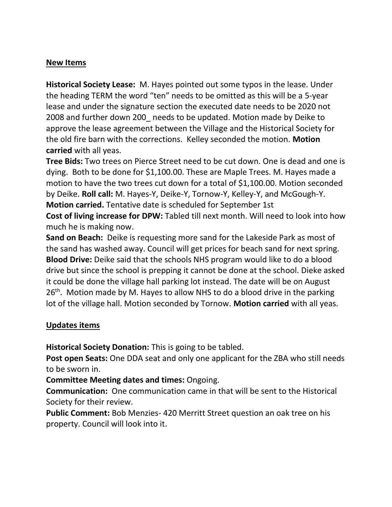# **New Items**

**Historical Society Lease:** M. Hayes pointed out some typos in the lease. Under the heading TERM the word "ten" needs to be omitted as this will be a 5-year lease and under the signature section the executed date needs to be 2020 not 2008 and further down 200\_ needs to be updated. Motion made by Deike to approve the lease agreement between the Village and the Historical Society for the old fire barn with the corrections. Kelley seconded the motion. **Motion carried** with all yeas.

**Tree Bids:** Two trees on Pierce Street need to be cut down. One is dead and one is dying. Both to be done for \$1,100.00. These are Maple Trees. M. Hayes made a motion to have the two trees cut down for a total of \$1,100.00. Motion seconded by Deike. **Roll call:** M. Hayes-Y, Deike-Y, Tornow-Y, Kelley-Y, and McGough-Y. **Motion carried.** Tentative date is scheduled for September 1st

**Cost of living increase for DPW:** Tabled till next month. Will need to look into how much he is making now.

**Sand on Beach:** Deike is requesting more sand for the Lakeside Park as most of the sand has washed away. Council will get prices for beach sand for next spring. **Blood Drive:** Deike said that the schools NHS program would like to do a blood drive but since the school is prepping it cannot be done at the school. Dieke asked it could be done the village hall parking lot instead. The date will be on August  $26<sup>th</sup>$ . Motion made by M. Hayes to allow NHS to do a blood drive in the parking lot of the village hall. Motion seconded by Tornow. **Motion carried** with all yeas.

# **Updates items**

**Historical Society Donation:** This is going to be tabled.

**Post open Seats:** One DDA seat and only one applicant for the ZBA who still needs to be sworn in.

**Committee Meeting dates and times:** Ongoing.

**Communication:** One communication came in that will be sent to the Historical Society for their review.

**Public Comment:** Bob Menzies- 420 Merritt Street question an oak tree on his property. Council will look into it.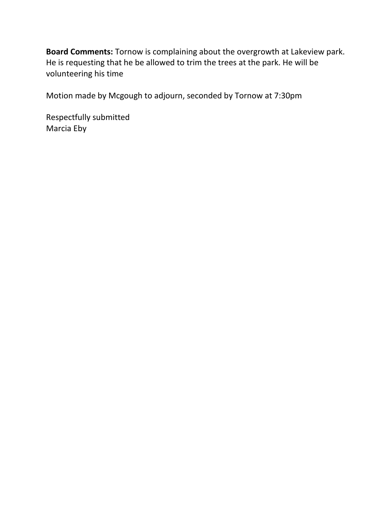**Board Comments:** Tornow is complaining about the overgrowth at Lakeview park. He is requesting that he be allowed to trim the trees at the park. He will be volunteering his time

Motion made by Mcgough to adjourn, seconded by Tornow at 7:30pm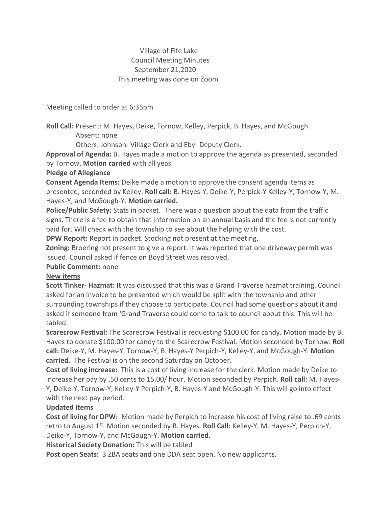## Village of Fife Lake Council Meeting Minutes September 21,2020 This meeting was done on Zoom

Meeting called to order at 6:35pm

Roll Call: Present: M. Hayes, Deike, Tornow, Kelley, Perpick, B. Hayes, and McGough Absent: none

Others: Johnson- Village Clerk and Eby- Deputy Clerk.

Approval of Agenda: B. Hayes made a motion to approve the agenda as presented, seconded by Tornow. Motion carried with all yeas.

### Pledge of Allegiance

Consent Agenda Items: Deike made a motion to approve the consent agenda items as presented, seconded by Kelley. Roll call: B. Hayes-Y, Deike-Y, Perpick-Y Kelley-Y, Tornow-Y, M. Hayes-Y, and McGough-Y. Motion carried.

Police/Public Safety: Stats in packet. There was a question about the data from the traffic signs. There is a fee to obtain that information on an annual basis and the fee is not currently paid for. Will check with the township to see about the helping with the cost.

DPW Report: Report in packet. Stocking not present at the meeting.

Zoning: Broering not present to give a report. It was reported that one driveway permit was issued. Council asked if fence on Boyd Street was resolved.

Public Comment: none

## New items

Scott Tinker- Hazmat: It was discussed that this was a Grand Traverse hazmat training. Council asked for an invoice to be presented which would be split with the township and other surrounding townships if they choose to participate. Council had some questions about it and asked if someone from 'Grand Traverse could come to talk to council about this. This will be tabled.

Scarecrow Festival: The Scarecrow Festival is requesting \$100.00 for candy. Motion made by B. Hayes to donate \$100.00 for candy to the Scarecrow Festival. Motion seconded by Tornow. Roll call: Deike-Y, M. Hayes-Y, Tornow-Y, B. Hayes-Y Perpich-Y, Kelley-Y, and McGough-Y. Motion carried. The Festival is on the second Saturday on October.

Cost of living increase: This is a cost of living increase for the clerk. Motion made by Deike to increase her pay by .50 cents to 15.00/ hour. Motion seconded by Perpich. Roll call: M. Hayes-Y, Deike-Y, Tornow-Y, Kelley-Y Perpich-Y, B. Hayes-Y and McGough-Y. This will go into effect with the next pay period.

## Updated items

Cost of living for DPW: Motion made by Perpich to increase his cost of living raise to .69 cents retro to August 1<sup>st</sup>. Motion seconded by B. Hayes. **Roll Call:** Kelley-Y, M. Hayes-Y, Perpich-Y, Deike-Y, Tornow-Y, and McGough-Y. Motion carried.

Historical Society Donation: This will be tabled

Post open Seats: 3 ZBA seats and one DDA seat open. No new applicants.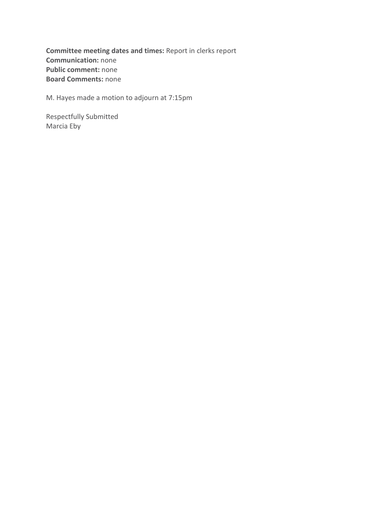Committee meeting dates and times: Report in clerks report Communication: none Public comment: none Board Comments: none

M. Hayes made a motion to adjourn at 7:15pm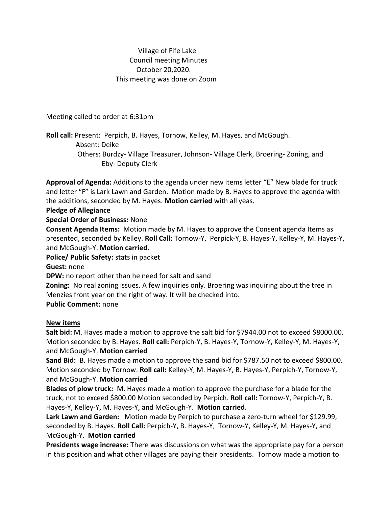## Village of Fife Lake Council meeting Minutes October 20,2020. This meeting was done on Zoom

Meeting called to order at 6:31pm

**Roll call:** Present: Perpich, B. Hayes, Tornow, Kelley, M. Hayes, and McGough. Absent: Deike Others: Burdzy- Village Treasurer, Johnson- Village Clerk, Broering- Zoning, and Eby- Deputy Clerk

**Approval of Agenda:** Additions to the agenda under new items letter "E" New blade for truck and letter "F" is Lark Lawn and Garden. Motion made by B. Hayes to approve the agenda with the additions, seconded by M. Hayes. **Motion carried** with all yeas.

**Pledge of Allegiance**

**Special Order of Business:** None

**Consent Agenda Items:** Motion made by M. Hayes to approve the Consent agenda Items as presented, seconded by Kelley. **Roll Call:** Tornow-Y, Perpick-Y, B. Hayes-Y, Kelley-Y, M. Hayes-Y, and McGough-Y. **Motion carried.**

**Police/ Public Safety:** stats in packet

**Guest:** none

**DPW:** no report other than he need for salt and sand

**Zoning:** No real zoning issues. A few inquiries only. Broering was inquiring about the tree in Menzies front year on the right of way. It will be checked into.

**Public Comment:** none

### **New items**

**Salt bid:** M. Hayes made a motion to approve the salt bid for \$7944.00 not to exceed \$8000.00. Motion seconded by B. Hayes. **Roll call:** Perpich-Y, B. Hayes-Y, Tornow-Y, Kelley-Y, M. Hayes-Y, and McGough-Y. **Motion carried**

**Sand Bid:** B. Hayes made a motion to approve the sand bid for \$787.50 not to exceed \$800.00. Motion seconded by Tornow. **Roll call:** Kelley-Y, M. Hayes-Y, B. Hayes-Y, Perpich-Y, Tornow-Y, and McGough-Y. **Motion carried**

**Blades of plow truck:** M. Hayes made a motion to approve the purchase for a blade for the truck, not to exceed \$800.00 Motion seconded by Perpich. **Roll call:** Tornow-Y, Perpich-Y, B. Hayes-Y, Kelley-Y, M. Hayes-Y, and McGough-Y. **Motion carried.**

**Lark Lawn and Garden:** Motion made by Perpich to purchase a zero-turn wheel for \$129.99, seconded by B. Hayes. **Roll Call:** Perpich-Y, B. Hayes-Y, Tornow-Y, Kelley-Y, M. Hayes-Y, and McGough-Y. **Motion carried**

**Presidents wage increase:** There was discussions on what was the appropriate pay for a person in this position and what other villages are paying their presidents. Tornow made a motion to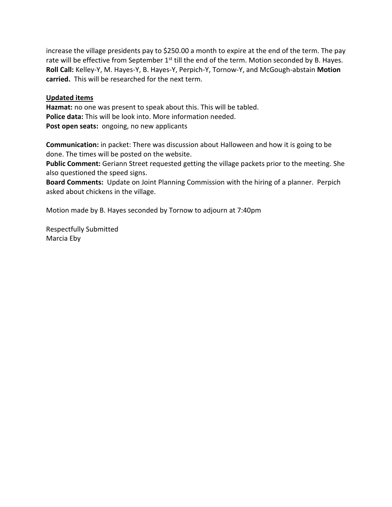increase the village presidents pay to \$250.00 a month to expire at the end of the term. The pay rate will be effective from September 1<sup>st</sup> till the end of the term. Motion seconded by B. Hayes. **Roll Call:** Kelley-Y, M. Hayes-Y, B. Hayes-Y, Perpich-Y, Tornow-Y, and McGough-abstain **Motion carried.** This will be researched for the next term.

### **Updated items**

**Hazmat:** no one was present to speak about this. This will be tabled. **Police data:** This will be look into. More information needed. Post open seats: ongoing, no new applicants

**Communication:** in packet: There was discussion about Halloween and how it is going to be done. The times will be posted on the website.

**Public Comment:** Geriann Street requested getting the village packets prior to the meeting. She also questioned the speed signs.

**Board Comments:** Update on Joint Planning Commission with the hiring of a planner. Perpich asked about chickens in the village.

Motion made by B. Hayes seconded by Tornow to adjourn at 7:40pm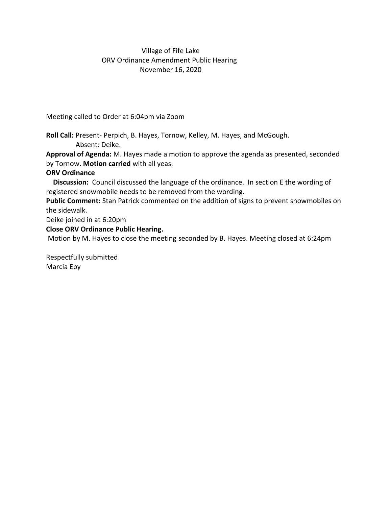## Village of Fife Lake ORV Ordinance Amendment Public Hearing November 16, 2020

Meeting called to Order at 6:04pm via Zoom

**Roll Call:** Present- Perpich, B. Hayes, Tornow, Kelley, M. Hayes, and McGough. Absent: Deike.

**Approval of Agenda:** M. Hayes made a motion to approve the agenda as presented, seconded by Tornow. **Motion carried** with all yeas.

## **ORV Ordinance**

 **Discussion:** Council discussed the language of the ordinance. In section E the wording of registered snowmobile needs to be removed from the wording.

**Public Comment:** Stan Patrick commented on the addition of signs to prevent snowmobiles on the sidewalk.

Deike joined in at 6:20pm

## **Close ORV Ordinance Public Hearing.**

Motion by M. Hayes to close the meeting seconded by B. Hayes. Meeting closed at 6:24pm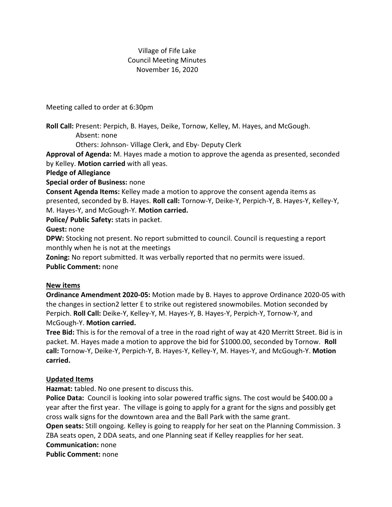## Village of Fife Lake Council Meeting Minutes November 16, 2020

Meeting called to order at 6:30pm

**Roll Call:** Present: Perpich, B. Hayes, Deike, Tornow, Kelley, M. Hayes, and McGough. Absent: none

Others: Johnson- Village Clerk, and Eby- Deputy Clerk

**Approval of Agenda:** M. Hayes made a motion to approve the agenda as presented, seconded by Kelley. **Motion carried** with all yeas.

**Pledge of Allegiance**

**Special order of Business:** none

**Consent Agenda Items:** Kelley made a motion to approve the consent agenda items as presented, seconded by B. Hayes. **Roll call:** Tornow-Y, Deike-Y, Perpich-Y, B. Hayes-Y, Kelley-Y, M. Hayes-Y, and McGough-Y. **Motion carried.**

**Police/ Public Safety:** stats in packet.

**Guest:** none

**DPW:** Stocking not present. No report submitted to council. Council is requesting a report monthly when he is not at the meetings

**Zoning:** No report submitted. It was verbally reported that no permits were issued.

**Public Comment:** none

## **New items**

**Ordinance Amendment 2020-05:** Motion made by B. Hayes to approve Ordinance 2020-05 with the changes in section2 letter E to strike out registered snowmobiles. Motion seconded by Perpich. **Roll Call:** Deike-Y, Kelley-Y, M. Hayes-Y, B. Hayes-Y, Perpich-Y, Tornow-Y, and McGough-Y. **Motion carried.**

**Tree Bid:** This is for the removal of a tree in the road right of way at 420 Merritt Street. Bid is in packet. M. Hayes made a motion to approve the bid for \$1000.00, seconded by Tornow. **Roll call:** Tornow-Y, Deike-Y, Perpich-Y, B. Hayes-Y, Kelley-Y, M. Hayes-Y, and McGough-Y. **Motion carried.**

## **Updated Items**

**Hazmat:** tabled. No one present to discuss this.

Police Data: Council is looking into solar powered traffic signs. The cost would be \$400.00 a year after the first year. The village is going to apply for a grant for the signs and possibly get cross walk signs for the downtown area and the Ball Park with the same grant.

**Open seats:** Still ongoing. Kelley is going to reapply for her seat on the Planning Commission. 3 ZBA seats open, 2 DDA seats, and one Planning seat if Kelley reapplies for her seat.

**Communication:** none

**Public Comment:** none